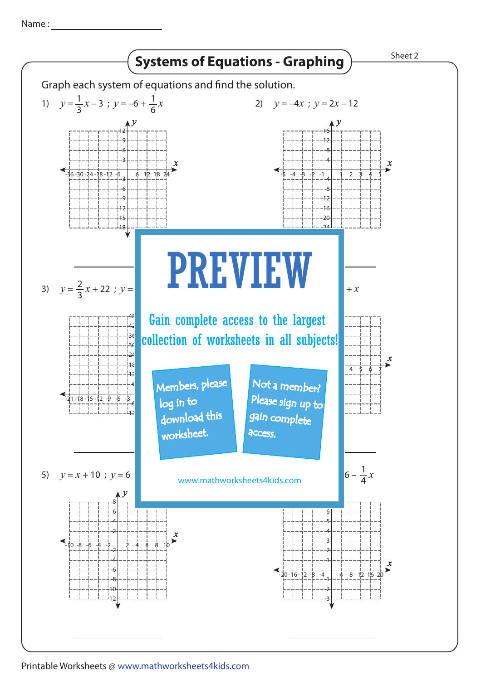Name :